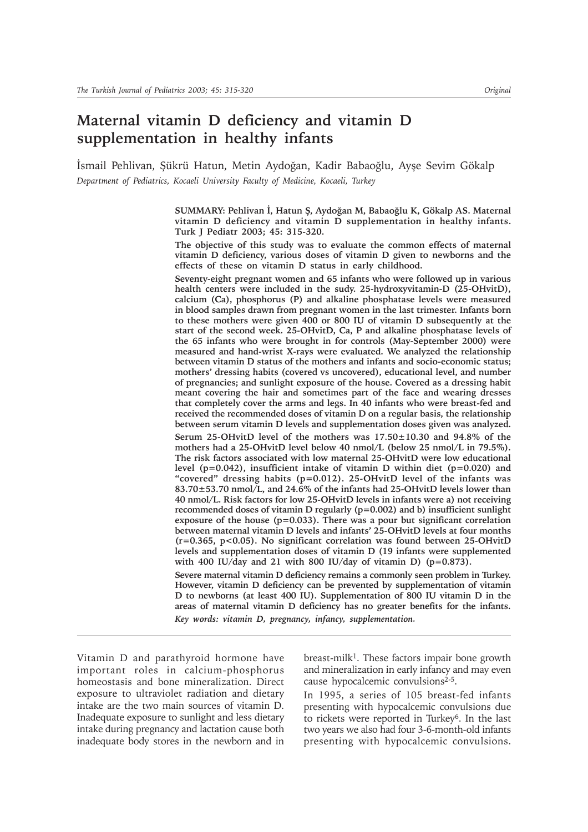# **Maternal vitamin D deficiency and vitamin D supplementation in healthy infants**

Ísmail Pehlivan, Şükrü Hatun, Metin Aydoğan, Kadir Babaoğlu, Ayşe Sevim Gökalp *Department of Pediatrics, Kocaeli University Faculty of Medicine, Kocaeli, Turkey*

> SUMMARY: Pehlivan İ, Hatun Ş, Aydoğan M, Babaoğlu K, Gökalp AS. Maternal **vitamin D deficiency and vitamin D supplementation in healthy infants. Turk J Pediatr 2003; 45: 315-320.**

> **The objective of this study was to evaluate the common effects of maternal vitamin D deficiency, various doses of vitamin D given to newborns and the effects of these on vitamin D status in early childhood.**

> **Seventy-eight pregnant women and 65 infants who were followed up in various health centers were included in the sudy. 25-hydroxyvitamin-D (25-OHvitD), calcium (Ca), phosphorus (P) and alkaline phosphatase levels were measured in blood samples drawn from pregnant women in the last trimester. Infants born to these mothers were given 400 or 800 IU of vitamin D subsequently at the start of the second week. 25-OHvitD, Ca, P and alkaline phosphatase levels of the 65 infants who were brought in for controls (May-September 2000) were measured and hand-wrist X-rays were evaluated. We analyzed the relationship between vitamin D status of the mothers and infants and socio-economic status; mothers' dressing habits (covered vs uncovered), educational level, and number of pregnancies; and sunlight exposure of the house. Covered as a dressing habit meant covering the hair and sometimes part of the face and wearing dresses that completely cover the arms and legs. In 40 infants who were breast-fed and received the recommended doses of vitamin D on a regular basis, the relationship between serum vitamin D levels and supplementation doses given was analyzed. Serum 25-OHvitD level of the mothers was 17.50±10.30 and 94.8% of the mothers had a 25-OHvitD level below 40 nmol/L (below 25 nmol/L in 79.5%). The risk factors associated with low maternal 25-OHvitD were low educational level (p=0.042), insufficient intake of vitamin D within diet (p=0.020) and "covered" dressing habits (p=0.012). 25-OHvitD level of the infants was 83.70±53.70 nmol/L, and 24.6% of the infants had 25-OHvitD levels lower than 40 nmol/L. Risk factors for low 25-OHvitD levels in infants were a) not receiving recommended doses of vitamin D regularly (p=0.002) and b) insufficient sunlight exposure of the house (p=0.033). There was a pour but significant correlation between maternal vitamin D levels and infants' 25-OHvitD levels at four months (r=0.365, p<0.05). No significant correlation was found between 25-OHvitD levels and supplementation doses of vitamin D (19 infants were supplemented with 400 IU/day and 21 with 800 IU/day of vitamin D) (p=0.873).**

> **Severe maternal vitamin D deficiency remains a commonly seen problem in Turkey. However, vitamin D deficiency can be prevented by supplementation of vitamin D to newborns (at least 400 IU). Supplementation of 800 IU vitamin D in the areas of maternal vitamin D deficiency has no greater benefits for the infants.** *Key words: vitamin D, pregnancy, infancy, supplementation.*

Vitamin D and parathyroid hormone have important roles in calcium-phosphorus homeostasis and bone mineralization. Direct exposure to ultraviolet radiation and dietary intake are the two main sources of vitamin D. Inadequate exposure to sunlight and less dietary intake during pregnancy and lactation cause both inadequate body stores in the newborn and in

breast-milk<sup>1</sup>. These factors impair bone growth and mineralization in early infancy and may even cause hypocalcemic convulsions<sup>2-5</sup>.

In 1995, a series of 105 breast-fed infants presenting with hypocalcemic convulsions due to rickets were reported in Turkey6. In the last two years we also had four 3-6-month-old infants presenting with hypocalcemic convulsions.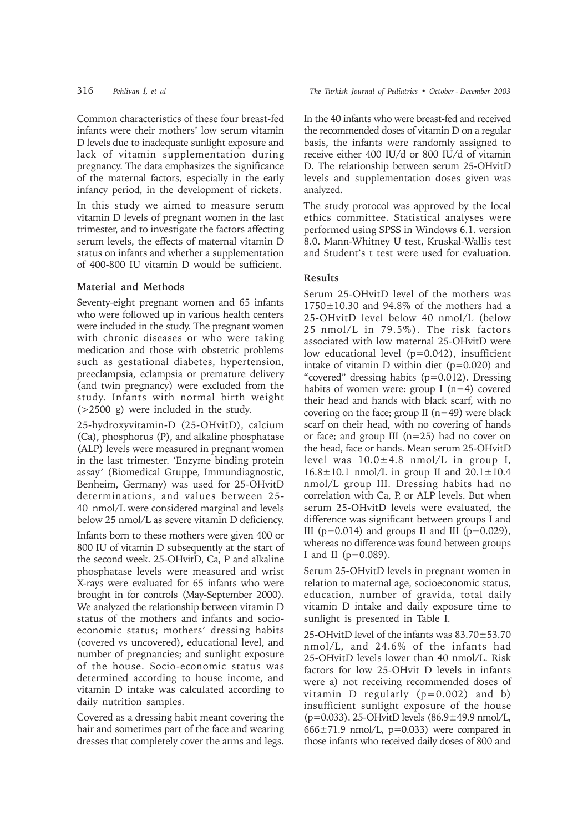Common characteristics of these four breast-fed infants were their mothers' low serum vitamin D levels due to inadequate sunlight exposure and lack of vitamin supplementation during pregnancy. The data emphasizes the significance of the maternal factors, especially in the early infancy period, in the development of rickets.

In this study we aimed to measure serum vitamin D levels of pregnant women in the last trimester, and to investigate the factors affecting serum levels, the effects of maternal vitamin D status on infants and whether a supplementation of 400-800 IU vitamin D would be sufficient.

## **Material and Methods**

Seventy-eight pregnant women and 65 infants who were followed up in various health centers were included in the study. The pregnant women with chronic diseases or who were taking medication and those with obstetric problems such as gestational diabetes, hypertension, preeclampsia, eclampsia or premature delivery (and twin pregnancy) were excluded from the study. Infants with normal birth weight (>2500 g) were included in the study.

25-hydroxyvitamin-D (25-OHvitD), calcium (Ca), phosphorus (P), and alkaline phosphatase (ALP) levels were measured in pregnant women in the last trimester. 'Enzyme binding protein assay' (Biomedical Gruppe, Immundiagnostic, Benheim, Germany) was used for 25-OHvitD determinations, and values between 25- 40 nmol/L were considered marginal and levels below 25 nmol/L as severe vitamin D deficiency.

Infants born to these mothers were given 400 or 800 IU of vitamin D subsequently at the start of the second week. 25-OHvitD, Ca, P and alkaline phosphatase levels were measured and wrist X-rays were evaluated for 65 infants who were brought in for controls (May-September 2000). We analyzed the relationship between vitamin D status of the mothers and infants and socioeconomic status; mothers' dressing habits (covered vs uncovered), educational level, and number of pregnancies; and sunlight exposure of the house. Socio-economic status was determined according to house income, and vitamin D intake was calculated according to daily nutrition samples.

Covered as a dressing habit meant covering the hair and sometimes part of the face and wearing dresses that completely cover the arms and legs. In the 40 infants who were breast-fed and received the recommended doses of vitamin D on a regular basis, the infants were randomly assigned to receive either 400 IU/d or 800 IU/d of vitamin D. The relationship between serum 25-OHvitD levels and supplementation doses given was analyzed.

The study protocol was approved by the local ethics committee. Statistical analyses were performed using SPSS in Windows 6.1. version 8.0. Mann-Whitney U test, Kruskal-Wallis test and Student's t test were used for evaluation.

# **Results**

Serum 25-OHvitD level of the mothers was  $1750\pm10.30$  and 94.8% of the mothers had a 25-OHvitD level below 40 nmol/L (below 25 nmol/L in 79.5%). The risk factors associated with low maternal 25-OHvitD were low educational level  $(p=0.042)$ , insufficient intake of vitamin D within diet  $(p=0.020)$  and "covered" dressing habits (p=0.012). Dressing habits of women were: group I  $(n=4)$  covered their head and hands with black scarf, with no covering on the face; group  $II(n=49)$  were black scarf on their head, with no covering of hands or face; and group III (n=25) had no cover on the head, face or hands. Mean serum 25-OHvitD level was  $10.0 \pm 4.8$  nmol/L in group I,  $16.8 \pm 10.1$  nmol/L in group II and  $20.1 \pm 10.4$ nmol/L group III. Dressing habits had no correlation with Ca, P, or ALP levels. But when serum 25-OHvitD levels were evaluated, the difference was significant between groups I and III ( $p=0.014$ ) and groups II and III ( $p=0.029$ ), whereas no difference was found between groups I and II ( $p=0.089$ ).

Serum 25-OHvitD levels in pregnant women in relation to maternal age, socioeconomic status, education, number of gravida, total daily vitamin D intake and daily exposure time to sunlight is presented in Table I.

25-OHvitD level of the infants was 83.70±53.70 nmol/L, and 24.6% of the infants had 25-OHvitD levels lower than 40 nmol/L. Risk factors for low 25-OHvit D levels in infants were a) not receiving recommended doses of vitamin D regularly  $(p=0.002)$  and b) insufficient sunlight exposure of the house (p=0.033). 25-OHvitD levels (86.9±49.9 nmol/L,  $666 \pm 71.9$  nmol/L, p=0.033) were compared in those infants who received daily doses of 800 and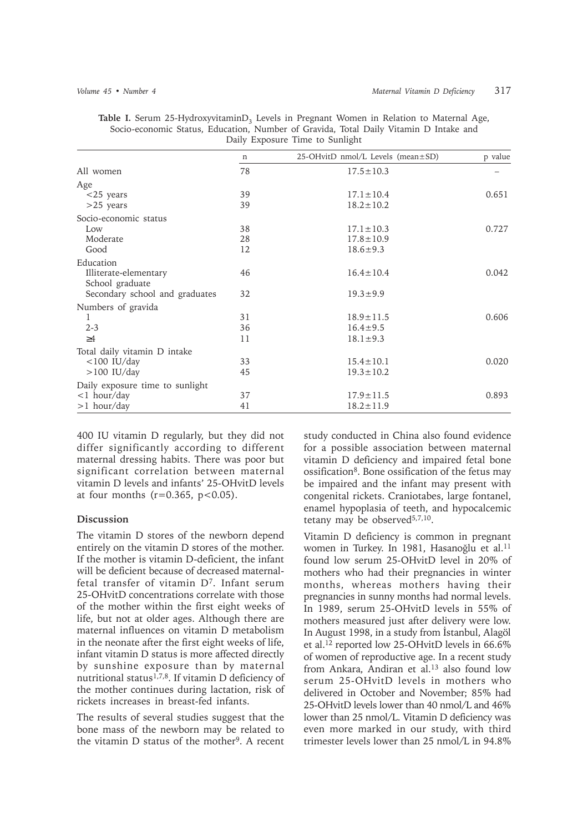|                                 | n  | $25$ -OHvitD nmol/L Levels (mean $\pm$ SD) | p value |
|---------------------------------|----|--------------------------------------------|---------|
| All women                       | 78 | $17.5 \pm 10.3$                            |         |
| Age                             |    |                                            |         |
| $<$ 25 years                    | 39 | $17.1 \pm 10.4$                            | 0.651   |
| $>25$ years                     | 39 | $18.2 \pm 10.2$                            |         |
| Socio-economic status           |    |                                            |         |
| Low                             | 38 | $17.1 \pm 10.3$                            | 0.727   |
| Moderate                        | 28 | $17.8 \pm 10.9$                            |         |
| Good                            | 12 | $18.6 \pm 9.3$                             |         |
| Education                       |    |                                            |         |
| Illiterate-elementary           | 46 | $16.4 \pm 10.4$                            | 0.042   |
| School graduate                 |    |                                            |         |
| Secondary school and graduates  | 32 | $19.3 \pm 9.9$                             |         |
| Numbers of gravida              |    |                                            |         |
| 1                               | 31 | $18.9 \pm 11.5$                            | 0.606   |
| $2 - 3$                         | 36 | $16.4 \pm 9.5$                             |         |
| $\geq 4$                        | 11 | $18.1 \pm 9.3$                             |         |
| Total daily vitamin D intake    |    |                                            |         |
| $<$ 100 IU/day                  | 33 | $15.4 \pm 10.1$                            | 0.020   |
| $>100$ IU/day                   | 45 | $19.3 \pm 10.2$                            |         |
| Daily exposure time to sunlight |    |                                            |         |
| $<$ 1 hour/day                  | 37 | $17.9 \pm 11.5$                            | 0.893   |
| $>1$ hour/day                   | 41 | $18.2 \pm 11.9$                            |         |

Table I. Serum 25-HydroxyvitaminD<sub>3</sub> Levels in Pregnant Women in Relation to Maternal Age, Socio-economic Status, Education, Number of Gravida, Total Daily Vitamin D Intake and Daily Exposure Time to Sunlight

400 IU vitamin D regularly, but they did not differ significantly according to different maternal dressing habits. There was poor but significant correlation between maternal vitamin D levels and infants' 25-OHvitD levels at four months  $(r=0.365, p<0.05)$ .

## **Discussion**

The vitamin D stores of the newborn depend entirely on the vitamin D stores of the mother. If the mother is vitamin D-deficient, the infant will be deficient because of decreased maternalfetal transfer of vitamin D7. Infant serum 25-OHvitD concentrations correlate with those of the mother within the first eight weeks of life, but not at older ages. Although there are maternal influences on vitamin D metabolism in the neonate after the first eight weeks of life, infant vitamin D status is more affected directly by sunshine exposure than by maternal nutritional status1,7,8. If vitamin D deficiency of the mother continues during lactation, risk of rickets increases in breast-fed infants.

The results of several studies suggest that the bone mass of the newborn may be related to the vitamin  $D$  status of the mother<sup>9</sup>. A recent

study conducted in China also found evidence for a possible association between maternal vitamin D deficiency and impaired fetal bone ossification8. Bone ossification of the fetus may be impaired and the infant may present with congenital rickets. Craniotabes, large fontanel, enamel hypoplasia of teeth, and hypocalcemic tetany may be observed<sup>5,7,10</sup>.

Vitamin D deficiency is common in pregnant women in Turkey. In 1981, Hasanoğlu et al.<sup>11</sup> found low serum 25-OHvitD level in 20% of mothers who had their pregnancies in winter months, whereas mothers having their pregnancies in sunny months had normal levels. In 1989, serum 25-OHvitD levels in 55% of mothers measured just after delivery were low. In August 1998, in a study from İstanbul, Alagöl et al.12 reported low 25-OHvitD levels in 66.6% of women of reproductive age. In a recent study from Ankara, Andiran et al.13 also found low serum 25-OHvitD levels in mothers who delivered in October and November; 85% had 25-OHvitD levels lower than 40 nmol/L and 46% lower than 25 nmol/L. Vitamin D deficiency was even more marked in our study, with third trimester levels lower than 25 nmol/L in 94.8%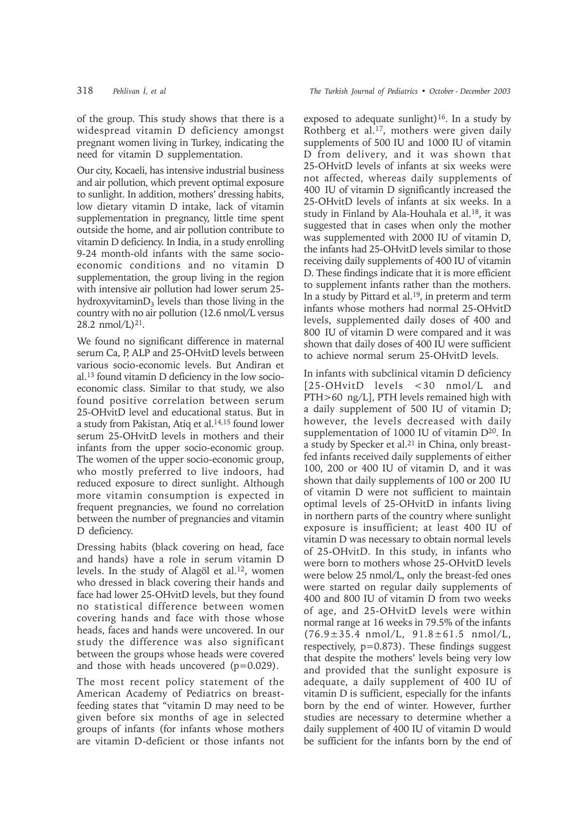of the group. This study shows that there is a widespread vitamin D deficiency amongst pregnant women living in Turkey, indicating the need for vitamin D supplementation.

Our city, Kocaeli, has intensive industrial business and air pollution, which prevent optimal exposure to sunlight. In addition, mothers' dressing habits, low dietary vitamin D intake, lack of vitamin supplementation in pregnancy, little time spent outside the home, and air pollution contribute to vitamin D deficiency. In India, in a study enrolling 9-24 month-old infants with the same socioeconomic conditions and no vitamin D supplementation, the group living in the region with intensive air pollution had lower serum 25 hydroxyvitamin $D_3$  levels than those living in the country with no air pollution (12.6 nmol/L versus 28.2 nmol/L $)^{21}$ .

We found no significant difference in maternal serum Ca, P, ALP and 25-OHvitD levels between various socio-economic levels. But Andiran et al.13 found vitamin D deficiency in the low socioeconomic class. Similar to that study, we also found positive correlation between serum 25-OHvitD level and educational status. But in a study from Pakistan, Atiq et al.14,15 found lower serum 25-OHvitD levels in mothers and their infants from the upper socio-economic group. The women of the upper socio-economic group, who mostly preferred to live indoors, had reduced exposure to direct sunlight. Although more vitamin consumption is expected in frequent pregnancies, we found no correlation between the number of pregnancies and vitamin D deficiency.

Dressing habits (black covering on head, face and hands) have a role in serum vitamin D levels. In the study of Alagöl et al.12, women who dressed in black covering their hands and face had lower 25-OHvitD levels, but they found no statistical difference between women covering hands and face with those whose heads, faces and hands were uncovered. In our study the difference was also significant between the groups whose heads were covered and those with heads uncovered (p=0.029).

The most recent policy statement of the American Academy of Pediatrics on breastfeeding states that "vitamin D may need to be given before six months of age in selected groups of infants (for infants whose mothers are vitamin D-deficient or those infants not exposed to adequate sunlight)<sup>16</sup>. In a study by Rothberg et al.17, mothers were given daily supplements of 500 IU and 1000 IU of vitamin D from delivery, and it was shown that 25-OHvitD levels of infants at six weeks were not affected, whereas daily supplements of 400 IU of vitamin D significantly increased the 25-OHvitD levels of infants at six weeks. In a study in Finland by Ala-Houhala et al.<sup>18</sup>, it was suggested that in cases when only the mother was supplemented with 2000 IU of vitamin D, the infants had 25-OHvitD levels similar to those receiving daily supplements of 400 IU of vitamin D. These findings indicate that it is more efficient to supplement infants rather than the mothers. In a study by Pittard et al.<sup>19</sup>, in preterm and term infants whose mothers had normal 25-OHvitD levels, supplemented daily doses of 400 and 800 IU of vitamin D were compared and it was shown that daily doses of 400 IU were sufficient to achieve normal serum 25-OHvitD levels.

In infants with subclinical vitamin D deficiency [25-OHvitD levels <30 nmol/L and PTH>60 ng/L], PTH levels remained high with a daily supplement of 500 IU of vitamin D; however, the levels decreased with daily supplementation of 1000 IU of vitamin  $D^{20}$ . In a study by Specker et al.<sup>21</sup> in China, only breastfed infants received daily supplements of either 100, 200 or 400 IU of vitamin D, and it was shown that daily supplements of 100 or 200 IU of vitamin D were not sufficient to maintain optimal levels of 25-OHvitD in infants living in northern parts of the country where sunlight exposure is insufficient; at least 400 IU of vitamin D was necessary to obtain normal levels of 25-OHvitD. In this study, in infants who were born to mothers whose 25-OHvitD levels were below 25 nmol/L, only the breast-fed ones were started on regular daily supplements of 400 and 800 IU of vitamin D from two weeks of age, and 25-OHvitD levels were within normal range at 16 weeks in 79.5% of the infants  $(76.9 \pm 35.4 \text{ nmol/L}, 91.8 \pm 61.5 \text{ nmol/L},$ respectively, p=0.873). These findings suggest that despite the mothers' levels being very low and provided that the sunlight exposure is adequate, a daily supplement of 400 IU of vitamin D is sufficient, especially for the infants born by the end of winter. However, further studies are necessary to determine whether a daily supplement of 400 IU of vitamin D would be sufficient for the infants born by the end of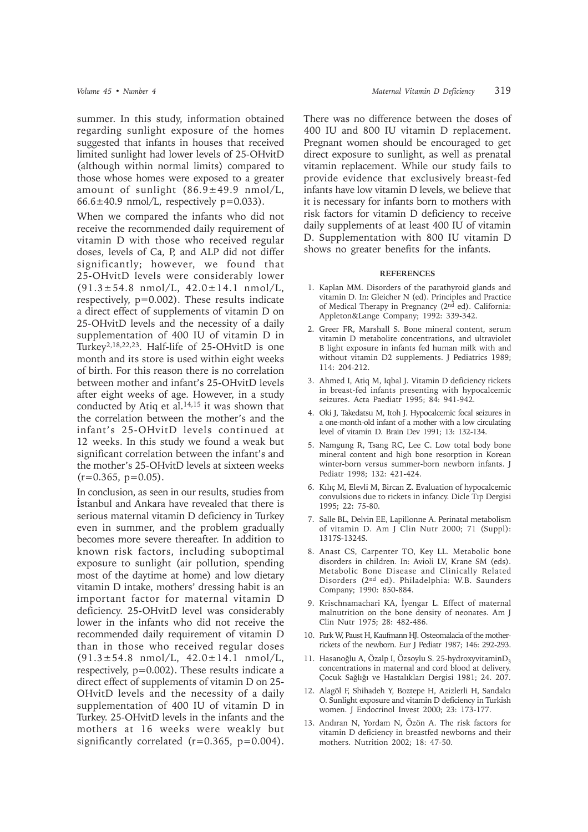summer. In this study, information obtained regarding sunlight exposure of the homes suggested that infants in houses that received limited sunlight had lower levels of 25-OHvitD (although within normal limits) compared to those whose homes were exposed to a greater amount of sunlight (86.9±49.9 nmol/L,  $66.6 \pm 40.9$  nmol/L, respectively  $p=0.033$ ).

When we compared the infants who did not receive the recommended daily requirement of vitamin D with those who received regular doses, levels of Ca, P, and ALP did not differ significantly; however, we found that 25-OHvitD levels were considerably lower (91.3±54.8 nmol/L, 42.0±14.1 nmol/L, respectively, p=0.002). These results indicate a direct effect of supplements of vitamin D on 25-OHvitD levels and the necessity of a daily supplementation of 400 IU of vitamin D in Turkey2,18,22,23. Half-life of 25-OHvitD is one month and its store is used within eight weeks of birth. For this reason there is no correlation between mother and infant's 25-OHvitD levels after eight weeks of age. However, in a study conducted by Atiq et al.<sup>14,15</sup> it was shown that the correlation between the mother's and the infant's 25-OHvitD levels continued at 12 weeks. In this study we found a weak but significant correlation between the infant's and the mother's 25-OHvitD levels at sixteen weeks  $(r=0.365, p=0.05)$ .

In conclusion, as seen in our results, studies from Istanbul and Ankara have revealed that there is serious maternal vitamin D deficiency in Turkey even in summer, and the problem gradually becomes more severe thereafter. In addition to known risk factors, including suboptimal exposure to sunlight (air pollution, spending most of the daytime at home) and low dietary vitamin D intake, mothers' dressing habit is an important factor for maternal vitamin D deficiency. 25-OHvitD level was considerably lower in the infants who did not receive the recommended daily requirement of vitamin D than in those who received regular doses (91.3±54.8 nmol/L, 42.0±14.1 nmol/L, respectively, p=0.002). These results indicate a direct effect of supplements of vitamin D on 25- OHvitD levels and the necessity of a daily supplementation of 400 IU of vitamin D in Turkey. 25-OHvitD levels in the infants and the mothers at 16 weeks were weakly but significantly correlated  $(r=0.365, p=0.004)$ .

There was no difference between the doses of 400 IU and 800 IU vitamin D replacement. Pregnant women should be encouraged to get direct exposure to sunlight, as well as prenatal vitamin replacement. While our study fails to provide evidence that exclusively breast-fed infants have low vitamin D levels, we believe that it is necessary for infants born to mothers with risk factors for vitamin D deficiency to receive daily supplements of at least 400 IU of vitamin D. Supplementation with 800 IU vitamin D shows no greater benefits for the infants.

#### **REFERENCES**

- 1. Kaplan MM. Disorders of the parathyroid glands and vitamin D. In: Gleicher N (ed). Principles and Practice of Medical Therapy in Pregnancy (2nd ed). California: Appleton&Lange Company; 1992: 339-342.
- 2. Greer FR, Marshall S. Bone mineral content, serum vitamin D metabolite concentrations, and ultraviolet B light exposure in infants fed human milk with and without vitamin D2 supplements. J Pediatrics 1989; 114: 204-212.
- 3. Ahmed I, Atiq M, Iqbal J. Vitamin D deficiency rickets in breast-fed infants presenting with hypocalcemic seizures. Acta Paediatr 1995; 84: 941-942.
- 4. Oki J, Takedatsu M, Itoh J. Hypocalcemic focal seizures in a one-month-old infant of a mother with a low circulating level of vitamin D. Brain Dev 1991; 13: 132-134.
- 5. Namgung R, Tsang RC, Lee C. Low total body bone mineral content and high bone resorption in Korean winter-born versus summer-born newborn infants. J Pediatr 1998; 132: 421-424.
- 6. Kılıç M, Elevli M, Bircan Z. Evaluation of hypocalcemic convulsions due to rickets in infancy. Dicle Tıp Dergisi 1995; 22: 75-80.
- 7. Salle BL, Delvin EE, Lapillonne A. Perinatal metabolism of vitamin D. Am J Clin Nutr 2000; 71 (Suppl): 1317S-1324S.
- 8. Anast CS, Carpenter TO, Key LL. Metabolic bone disorders in children. In: Avioli LV, Krane SM (eds). Metabolic Bone Disease and Clinically Related Disorders (2nd ed). Philadelphia: W.B. Saunders Company; 1990: 850-884.
- 9. Krischnamachari KA, İyengar L. Effect of maternal malnutrition on the bone density of neonates. Am J Clin Nutr 1975; 28: 482-486.
- 10. Park W, Paust H, Kaufmann HJ. Osteomalacia of the motherrickets of the newborn. Eur J Pediatr 1987; 146: 292-293.
- 11. Hasanoğlu A, Özalp I, Özsoylu S. 25-hydroxyvitaminD<sub>3</sub> concentrations in maternal and cord blood at delivery. Çocuk Sağlığı ve Hastalıkları Dergisi 1981; 24. 207.
- 12. Alagöl F, Shihadeh Y, Boztepe H, Azizlerli H, Sandalcı O. Sunlight exposure and vitamin D deficiency in Turkish women. J Endocrinol Invest 2000; 23: 173-177.
- 13. Andıran N, Yordam N, Özön A. The risk factors for vitamin D deficiency in breastfed newborns and their mothers. Nutrition 2002; 18: 47-50.